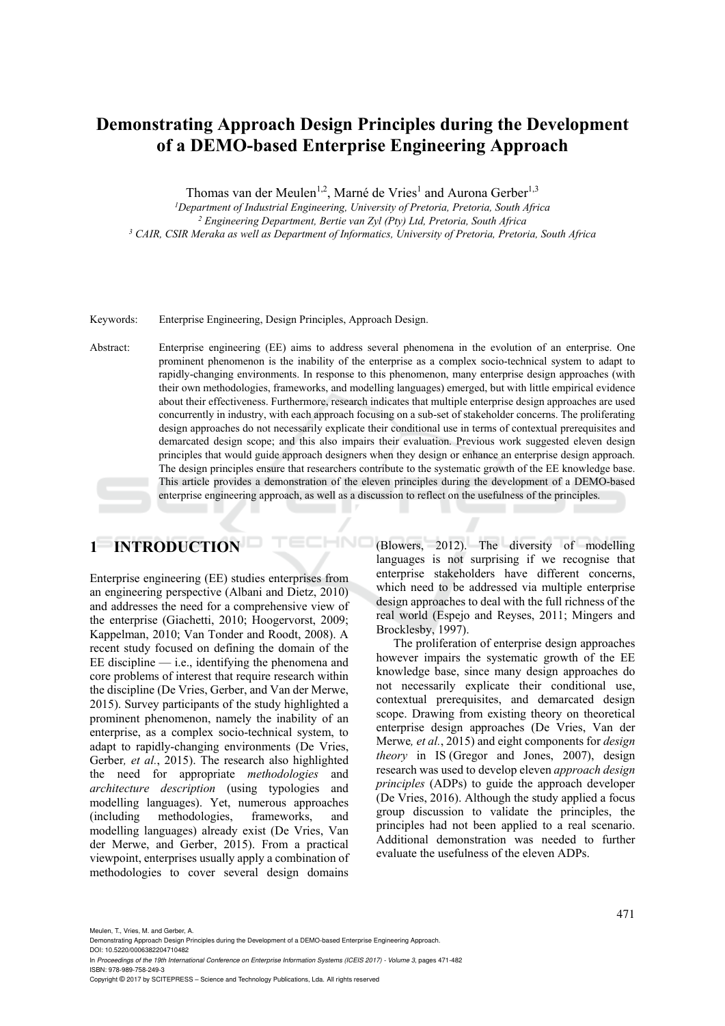# **Demonstrating Approach Design Principles during the Development of a DEMO-based Enterprise Engineering Approach**

Thomas van der Meulen<sup>1,2</sup>, Marné de Vries<sup>1</sup> and Aurona Gerber<sup>1,3</sup>

*1 Department of Industrial Engineering, University of Pretoria, Pretoria, South Africa 2*

<sup>2</sup> Engineering Department, Bertie van Zyl (Pty) Ltd, Pretoria, South Africa <sup>3</sup> CAIR, CSIR Meraka as well as Department of Informatics, University of Pretoria, Pretoria, South Africa

Keywords: Enterprise Engineering, Design Principles, Approach Design.

Abstract: Enterprise engineering (EE) aims to address several phenomena in the evolution of an enterprise. One prominent phenomenon is the inability of the enterprise as a complex socio-technical system to adapt to rapidly-changing environments. In response to this phenomenon, many enterprise design approaches (with their own methodologies, frameworks, and modelling languages) emerged, but with little empirical evidence about their effectiveness. Furthermore, research indicates that multiple enterprise design approaches are used concurrently in industry, with each approach focusing on a sub-set of stakeholder concerns. The proliferating design approaches do not necessarily explicate their conditional use in terms of contextual prerequisites and demarcated design scope; and this also impairs their evaluation. Previous work suggested eleven design principles that would guide approach designers when they design or enhance an enterprise design approach. The design principles ensure that researchers contribute to the systematic growth of the EE knowledge base. This article provides a demonstration of the eleven principles during the development of a DEMO-based enterprise engineering approach, as well as a discussion to reflect on the usefulness of the principles.

HNC

# **1 INTRODUCTION**

Enterprise engineering (EE) studies enterprises from an engineering perspective (Albani and Dietz, 2010) and addresses the need for a comprehensive view of the enterprise (Giachetti, 2010; Hoogervorst, 2009; Kappelman, 2010; Van Tonder and Roodt, 2008). A recent study focused on defining the domain of the  $EE$  discipline  $-$  i.e., identifying the phenomena and core problems of interest that require research within the discipline (De Vries, Gerber, and Van der Merwe, 2015). Survey participants of the study highlighted a prominent phenomenon, namely the inability of an enterprise, as a complex socio-technical system, to adapt to rapidly-changing environments (De Vries, Gerber*, et al.*, 2015). The research also highlighted the need for appropriate *methodologies* and *architecture description* (using typologies and modelling languages). Yet, numerous approaches (including methodologies, frameworks, and modelling languages) already exist (De Vries, Van der Merwe, and Gerber, 2015). From a practical viewpoint, enterprises usually apply a combination of methodologies to cover several design domains (Blowers, 2012). The diversity of modelling languages is not surprising if we recognise that enterprise stakeholders have different concerns, which need to be addressed via multiple enterprise design approaches to deal with the full richness of the real world (Espejo and Reyses, 2011; Mingers and Brocklesby, 1997).

The proliferation of enterprise design approaches however impairs the systematic growth of the EE knowledge base, since many design approaches do not necessarily explicate their conditional use, contextual prerequisites, and demarcated design scope. Drawing from existing theory on theoretical enterprise design approaches (De Vries, Van der Merwe*, et al.*, 2015) and eight components for *design theory* in IS (Gregor and Jones, 2007), design research was used to develop eleven *approach design principles* (ADPs) to guide the approach developer (De Vries, 2016). Although the study applied a focus group discussion to validate the principles, the principles had not been applied to a real scenario. Additional demonstration was needed to further evaluate the usefulness of the eleven ADPs.

Meulen, T., Vries, M. and Gerber, A.

Demonstrating Approach Design Principles during the Development of a DEMO-based Enterprise Engineering Approach. DOI: 10.5220/0006382204710482

In *Proceedings of the 19th International Conference on Enterprise Information Systems (ICEIS 2017) - Volume 3*, pages 471-482 ISBN: 978-989-758-249-3

Copyright © 2017 by SCITEPRESS – Science and Technology Publications, Lda. All rights reserved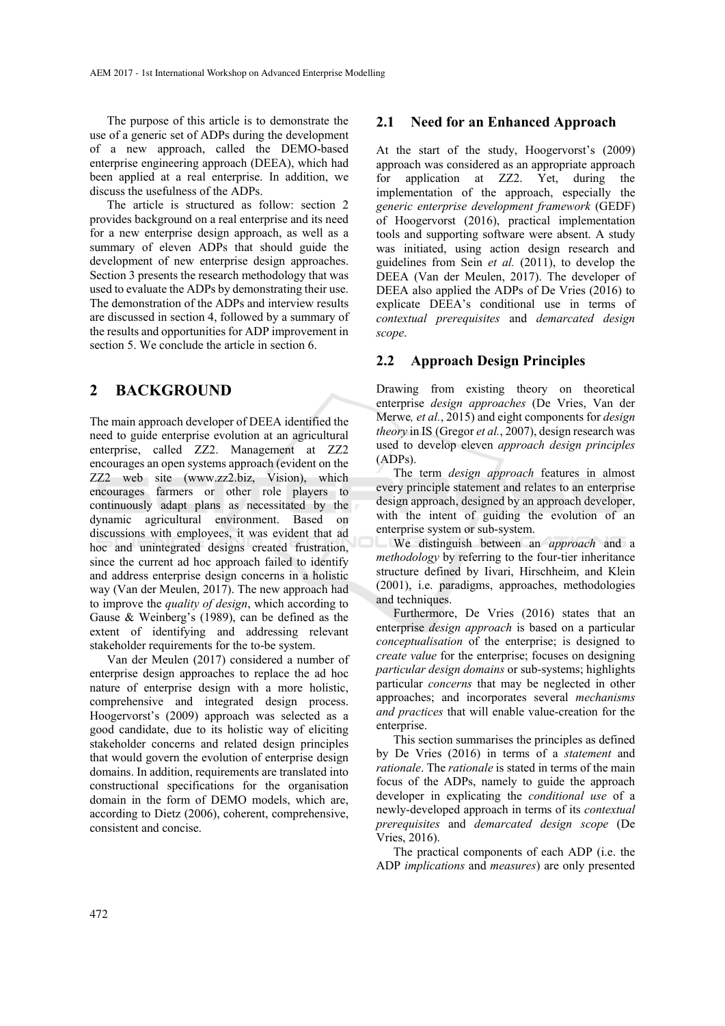The purpose of this article is to demonstrate the use of a generic set of ADPs during the development of a new approach, called the DEMO-based enterprise engineering approach (DEEA), which had been applied at a real enterprise. In addition, we discuss the usefulness of the ADPs.

The article is structured as follow: section 2 provides background on a real enterprise and its need for a new enterprise design approach, as well as a summary of eleven ADPs that should guide the development of new enterprise design approaches. Section 3 presents the research methodology that was used to evaluate the ADPs by demonstrating their use. The demonstration of the ADPs and interview results are discussed in section 4, followed by a summary of the results and opportunities for ADP improvement in section 5. We conclude the article in section 6.

# **2 BACKGROUND**

The main approach developer of DEEA identified the need to guide enterprise evolution at an agricultural enterprise, called ZZ2. Management at ZZ2 encourages an open systems approach (evident on the ZZ2 web site (www.zz2.biz, Vision), which encourages farmers or other role players to continuously adapt plans as necessitated by the dynamic agricultural environment. Based on discussions with employees, it was evident that ad hoc and unintegrated designs created frustration, since the current ad hoc approach failed to identify and address enterprise design concerns in a holistic way (Van der Meulen, 2017). The new approach had to improve the *quality of design*, which according to Gause & Weinberg's (1989), can be defined as the extent of identifying and addressing relevant stakeholder requirements for the to-be system.

Van der Meulen (2017) considered a number of enterprise design approaches to replace the ad hoc nature of enterprise design with a more holistic, comprehensive and integrated design process. Hoogervorst's (2009) approach was selected as a good candidate, due to its holistic way of eliciting stakeholder concerns and related design principles that would govern the evolution of enterprise design domains. In addition, requirements are translated into constructional specifications for the organisation domain in the form of DEMO models, which are, according to Dietz (2006), coherent, comprehensive, consistent and concise.

### **2.1 Need for an Enhanced Approach**

At the start of the study, Hoogervorst's (2009) approach was considered as an appropriate approach for application at ZZ2. Yet, during the implementation of the approach, especially the *generic enterprise development framework* (GEDF) of Hoogervorst (2016), practical implementation tools and supporting software were absent. A study was initiated, using action design research and guidelines from Sein *et al.* (2011), to develop the DEEA (Van der Meulen, 2017). The developer of DEEA also applied the ADPs of De Vries (2016) to explicate DEEA's conditional use in terms of *contextual prerequisites* and *demarcated design scope*.

### **2.2 Approach Design Principles**

Drawing from existing theory on theoretical enterprise *design approaches* (De Vries, Van der Merwe*, et al.*, 2015) and eight components for *design theory* in IS (Gregor *et al.*, 2007), design research was used to develop eleven *approach design principles* (ADPs).

The term *design approach* features in almost every principle statement and relates to an enterprise design approach, designed by an approach developer, with the intent of guiding the evolution of an enterprise system or sub-system.

We distinguish between an *approach* and a *methodology* by referring to the four-tier inheritance structure defined by Iivari, Hirschheim, and Klein (2001), i.e. paradigms, approaches, methodologies and techniques.

Furthermore, De Vries (2016) states that an enterprise *design approach* is based on a particular *conceptualisation* of the enterprise; is designed to *create value* for the enterprise; focuses on designing *particular design domains* or sub-systems; highlights particular *concerns* that may be neglected in other approaches; and incorporates several *mechanisms and practices* that will enable value-creation for the enterprise.

This section summarises the principles as defined by De Vries (2016) in terms of a *statement* and *rationale*. The *rationale* is stated in terms of the main focus of the ADPs, namely to guide the approach developer in explicating the *conditional use* of a newly-developed approach in terms of its *contextual prerequisites* and *demarcated design scope* (De Vries, 2016).

The practical components of each ADP (i.e. the ADP *implications* and *measures*) are only presented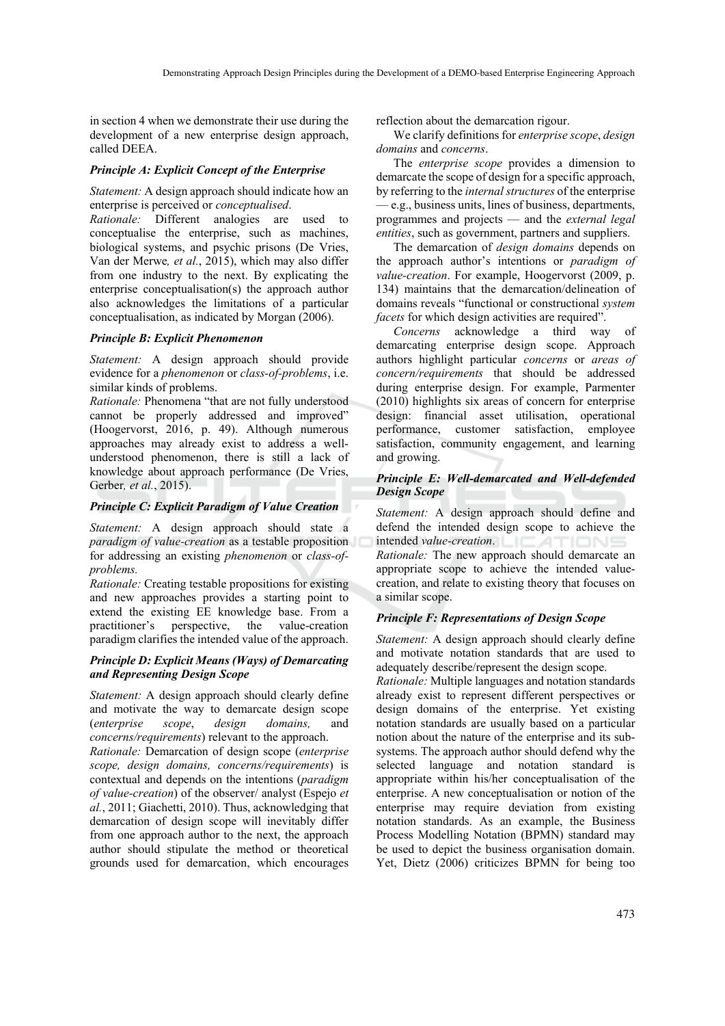in section 4 when we demonstrate their use during the development of a new enterprise design approach, called DEEA.

### *Principle A: Explicit Concept of the Enterprise*

### *Statement:* A design approach should indicate how an enterprise is perceived or *conceptualised*.

*Rationale:* Different analogies are used to conceptualise the enterprise, such as machines, biological systems, and psychic prisons (De Vries, Van der Merwe*, et al.*, 2015), which may also differ from one industry to the next. By explicating the enterprise conceptualisation(s) the approach author also acknowledges the limitations of a particular conceptualisation, as indicated by Morgan (2006).

### *Principle B: Explicit Phenomenon*

*Statement:* A design approach should provide evidence for a *phenomenon* or *class-of-problems*, i.e. similar kinds of problems.

*Rationale:* Phenomena "that are not fully understood cannot be properly addressed and improved" (Hoogervorst, 2016, p. 49). Although numerous approaches may already exist to address a wellunderstood phenomenon, there is still a lack of knowledge about approach performance (De Vries, Gerber*, et al.*, 2015).

### *Principle C: Explicit Paradigm of Value Creation*

*Statement:* A design approach should state a *paradigm of value-creation* as a testable proposition for addressing an existing *phenomenon* or *class-ofproblems.*

*Rationale:* Creating testable propositions for existing and new approaches provides a starting point to extend the existing EE knowledge base. From a practitioner's perspective, the value-creation paradigm clarifies the intended value of the approach.

### *Principle D: Explicit Means (Ways) of Demarcating and Representing Design Scope*

*Statement:* A design approach should clearly define and motivate the way to demarcate design scope (*enterprise scope*, *design domains,* and *concerns/requirements*) relevant to the approach.

*Rationale:* Demarcation of design scope (*enterprise scope, design domains, concerns/requirements*) is contextual and depends on the intentions (*paradigm of value-creation*) of the observer/ analyst (Espejo *et al.*, 2011; Giachetti, 2010). Thus, acknowledging that demarcation of design scope will inevitably differ from one approach author to the next, the approach author should stipulate the method or theoretical grounds used for demarcation, which encourages reflection about the demarcation rigour.

We clarify definitions for *enterprise scope*, *design domains* and *concerns*.

The *enterprise scope* provides a dimension to demarcate the scope of design for a specific approach, by referring to the *internal structures* of the enterprise — e.g., business units, lines of business, departments, programmes and projects — and the *external legal entities*, such as government, partners and suppliers.

The demarcation of *design domains* depends on the approach author's intentions or *paradigm of value-creation*. For example, Hoogervorst (2009, p. 134) maintains that the demarcation/delineation of domains reveals "functional or constructional *system facets* for which design activities are required".

*Concerns* acknowledge a third way of demarcating enterprise design scope. Approach authors highlight particular *concerns* or *areas of concern/requirements* that should be addressed during enterprise design. For example, Parmenter (2010) highlights six areas of concern for enterprise design: financial asset utilisation, operational performance, customer satisfaction, employee satisfaction, community engagement, and learning and growing.

### *Principle E: Well-demarcated and Well-defended Design Scope*

*Statement:* A design approach should define and defend the intended design scope to achieve the intended *value-creation*. *Rationale:* The new approach should demarcate an appropriate scope to achieve the intended valuecreation, and relate to existing theory that focuses on a similar scope.

### *Principle F: Representations of Design Scope*

*Statement:* A design approach should clearly define and motivate notation standards that are used to adequately describe/represent the design scope.

*Rationale:* Multiple languages and notation standards already exist to represent different perspectives or design domains of the enterprise. Yet existing notation standards are usually based on a particular notion about the nature of the enterprise and its subsystems. The approach author should defend why the selected language and notation standard is appropriate within his/her conceptualisation of the enterprise. A new conceptualisation or notion of the enterprise may require deviation from existing notation standards. As an example, the Business Process Modelling Notation (BPMN) standard may be used to depict the business organisation domain. Yet, Dietz (2006) criticizes BPMN for being too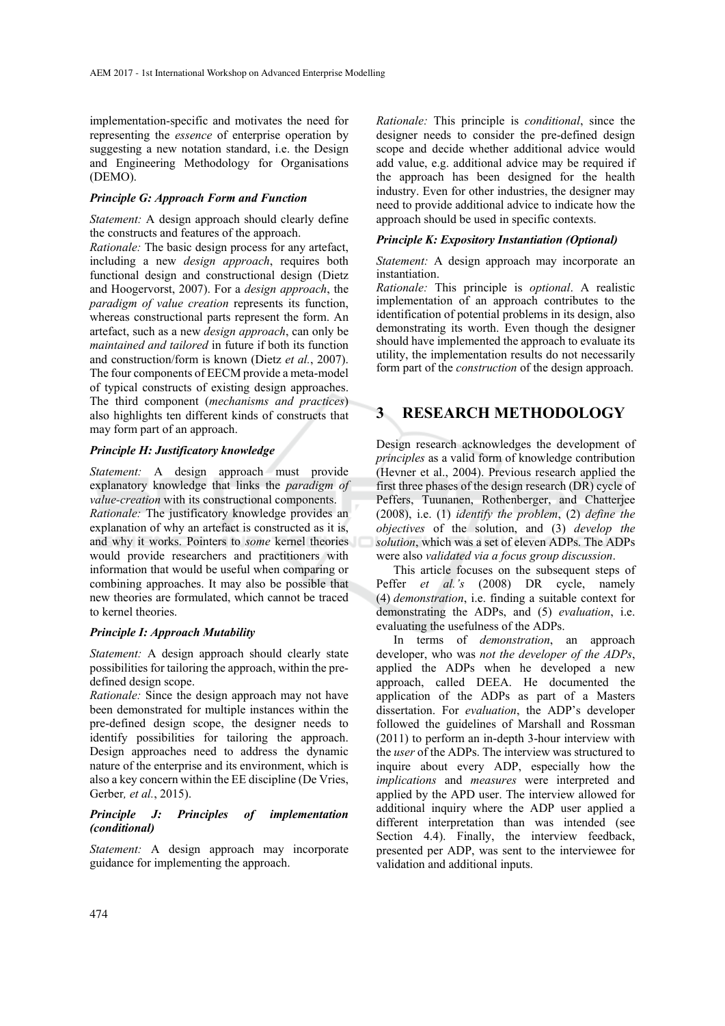implementation-specific and motivates the need for representing the *essence* of enterprise operation by suggesting a new notation standard, i.e. the Design and Engineering Methodology for Organisations (DEMO).

#### *Principle G: Approach Form and Function*

*Statement:* A design approach should clearly define the constructs and features of the approach.

*Rationale:* The basic design process for any artefact, including a new *design approach*, requires both functional design and constructional design (Dietz and Hoogervorst, 2007). For a *design approach*, the *paradigm of value creation* represents its function, whereas constructional parts represent the form. An artefact, such as a new *design approach*, can only be *maintained and tailored* in future if both its function and construction/form is known (Dietz *et al.*, 2007). The four components of EECM provide a meta-model of typical constructs of existing design approaches. The third component (*mechanisms and practices*) also highlights ten different kinds of constructs that may form part of an approach.

### *Principle H: Justificatory knowledge*

*Statement:* A design approach must provide explanatory knowledge that links the *paradigm of value-creation* with its constructional components. *Rationale:* The justificatory knowledge provides an explanation of why an artefact is constructed as it is, and why it works. Pointers to *some* kernel theories would provide researchers and practitioners with information that would be useful when comparing or combining approaches. It may also be possible that new theories are formulated, which cannot be traced to kernel theories.

### *Principle I: Approach Mutability*

*Statement:* A design approach should clearly state possibilities for tailoring the approach, within the predefined design scope.

*Rationale:* Since the design approach may not have been demonstrated for multiple instances within the pre-defined design scope, the designer needs to identify possibilities for tailoring the approach. Design approaches need to address the dynamic nature of the enterprise and its environment, which is also a key concern within the EE discipline (De Vries, Gerber*, et al.*, 2015).

#### *Principle J: Principles of implementation (conditional)*

*Statement:* A design approach may incorporate guidance for implementing the approach.

*Rationale:* This principle is *conditional*, since the designer needs to consider the pre-defined design scope and decide whether additional advice would add value, e.g. additional advice may be required if the approach has been designed for the health industry. Even for other industries, the designer may need to provide additional advice to indicate how the approach should be used in specific contexts.

### *Principle K: Expository Instantiation (Optional)*

*Statement:* A design approach may incorporate an instantiation.

*Rationale:* This principle is *optional*. A realistic implementation of an approach contributes to the identification of potential problems in its design, also demonstrating its worth. Even though the designer should have implemented the approach to evaluate its utility, the implementation results do not necessarily form part of the *construction* of the design approach.

# **3 RESEARCH METHODOLOGY**

Design research acknowledges the development of *principles* as a valid form of knowledge contribution (Hevner et al., 2004). Previous research applied the first three phases of the design research (DR) cycle of Peffers, Tuunanen, Rothenberger, and Chatterjee (2008), i.e. (1) *identify the problem*, (2) *define the objectives* of the solution, and (3) *develop the solution*, which was a set of eleven ADPs. The ADPs were also *validated via a focus group discussion*.

This article focuses on the subsequent steps of Peffer *et al.'s* (2008) DR cycle, namely (4) *demonstration*, i.e. finding a suitable context for demonstrating the ADPs, and (5) *evaluation*, i.e. evaluating the usefulness of the ADPs.

In terms of *demonstration*, an approach developer, who was *not the developer of the ADPs*, applied the ADPs when he developed a new approach, called DEEA. He documented the application of the ADPs as part of a Masters dissertation. For *evaluation*, the ADP's developer followed the guidelines of Marshall and Rossman (2011) to perform an in-depth 3-hour interview with the *user* of the ADPs. The interview was structured to inquire about every ADP, especially how the *implications* and *measures* were interpreted and applied by the APD user. The interview allowed for additional inquiry where the ADP user applied a different interpretation than was intended (see Section 4.4). Finally, the interview feedback, presented per ADP, was sent to the interviewee for validation and additional inputs.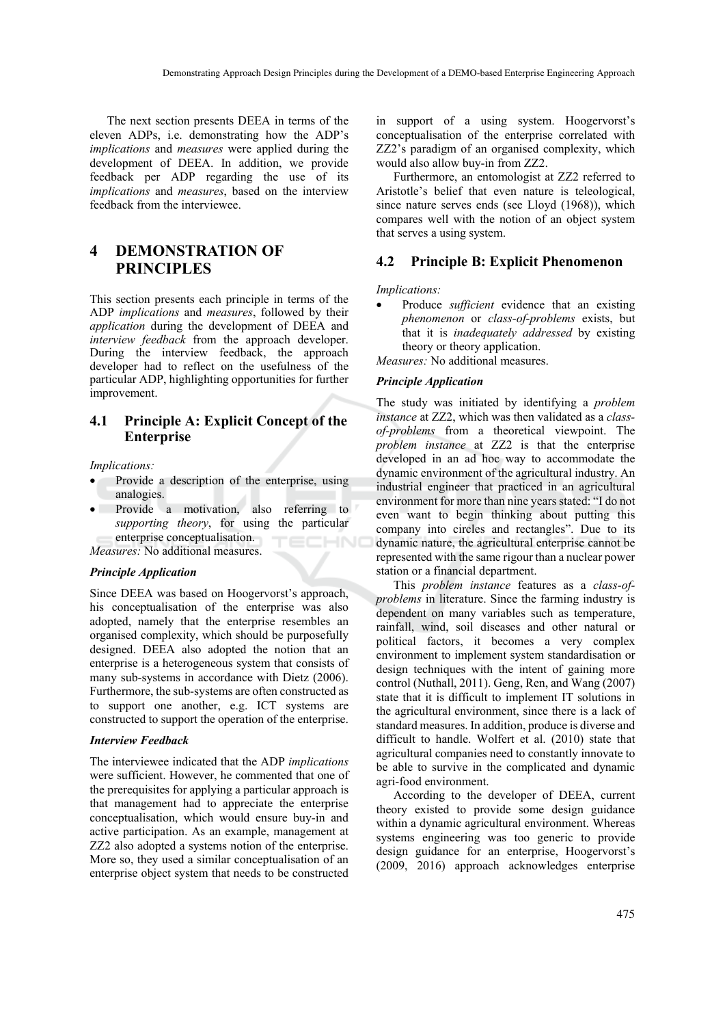The next section presents DEEA in terms of the eleven ADPs, i.e. demonstrating how the ADP's *implications* and *measures* were applied during the development of DEEA. In addition, we provide feedback per ADP regarding the use of its *implications* and *measures*, based on the interview feedback from the interviewee.

# **4 DEMONSTRATION OF PRINCIPLES**

This section presents each principle in terms of the ADP *implications* and *measures*, followed by their *application* during the development of DEEA and *interview feedback* from the approach developer. During the interview feedback, the approach developer had to reflect on the usefulness of the particular ADP, highlighting opportunities for further improvement.

### **4.1 Principle A: Explicit Concept of the Enterprise**

*Implications:* 

- Provide a description of the enterprise, using analogies.
- Provide a motivation, also referring to *supporting theory*, for using the particular enterprise conceptualisation. 'ECHN0

*Measures:* No additional measures.

#### *Principle Application*

Since DEEA was based on Hoogervorst's approach, his conceptualisation of the enterprise was also adopted, namely that the enterprise resembles an organised complexity, which should be purposefully designed. DEEA also adopted the notion that an enterprise is a heterogeneous system that consists of many sub-systems in accordance with Dietz (2006). Furthermore, the sub-systems are often constructed as to support one another, e.g. ICT systems are constructed to support the operation of the enterprise.

### *Interview Feedback*

The interviewee indicated that the ADP *implications* were sufficient. However, he commented that one of the prerequisites for applying a particular approach is that management had to appreciate the enterprise conceptualisation, which would ensure buy-in and active participation. As an example, management at ZZ2 also adopted a systems notion of the enterprise. More so, they used a similar conceptualisation of an enterprise object system that needs to be constructed

in support of a using system. Hoogervorst's conceptualisation of the enterprise correlated with ZZ2's paradigm of an organised complexity, which would also allow buy-in from ZZ2.

Furthermore, an entomologist at ZZ2 referred to Aristotle's belief that even nature is teleological, since nature serves ends (see Lloyd (1968)), which compares well with the notion of an object system that serves a using system.

### **4.2 Principle B: Explicit Phenomenon**

*Implications:* 

• Produce *sufficient* evidence that an existing *phenomenon* or *class-of-problems* exists, but that it is *inadequately addressed* by existing theory or theory application.

*Measures:* No additional measures.

#### *Principle Application*

The study was initiated by identifying a *problem instance* at ZZ2, which was then validated as a *classof-problems* from a theoretical viewpoint. The *problem instance* at ZZ2 is that the enterprise developed in an ad hoc way to accommodate the dynamic environment of the agricultural industry. An industrial engineer that practiced in an agricultural environment for more than nine years stated: "I do not even want to begin thinking about putting this company into circles and rectangles". Due to its dynamic nature, the agricultural enterprise cannot be represented with the same rigour than a nuclear power station or a financial department.

This *problem instance* features as a *class-ofproblems* in literature. Since the farming industry is dependent on many variables such as temperature, rainfall, wind, soil diseases and other natural or political factors, it becomes a very complex environment to implement system standardisation or design techniques with the intent of gaining more control (Nuthall, 2011). Geng, Ren, and Wang (2007) state that it is difficult to implement IT solutions in the agricultural environment, since there is a lack of standard measures. In addition, produce is diverse and difficult to handle. Wolfert et al. (2010) state that agricultural companies need to constantly innovate to be able to survive in the complicated and dynamic agri-food environment.

According to the developer of DEEA, current theory existed to provide some design guidance within a dynamic agricultural environment. Whereas systems engineering was too generic to provide design guidance for an enterprise, Hoogervorst's (2009, 2016) approach acknowledges enterprise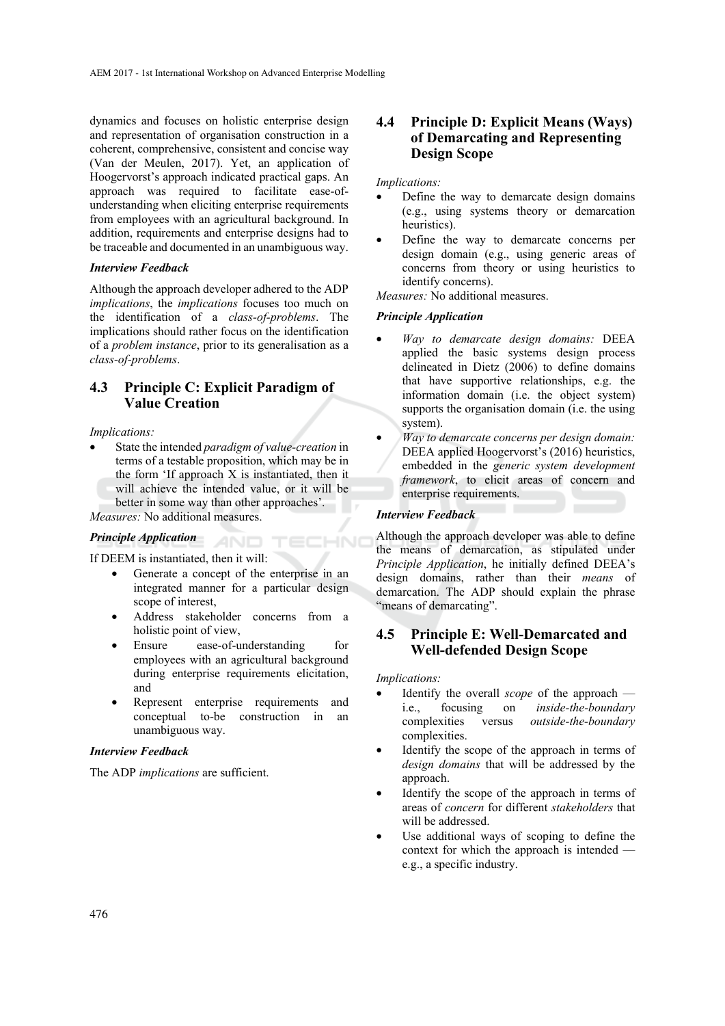dynamics and focuses on holistic enterprise design and representation of organisation construction in a coherent, comprehensive, consistent and concise way (Van der Meulen, 2017). Yet, an application of Hoogervorst's approach indicated practical gaps. An approach was required to facilitate ease-ofunderstanding when eliciting enterprise requirements from employees with an agricultural background. In addition, requirements and enterprise designs had to be traceable and documented in an unambiguous way.

### *Interview Feedback*

Although the approach developer adhered to the ADP *implications*, the *implications* focuses too much on the identification of a *class-of-problems*. The implications should rather focus on the identification of a *problem instance*, prior to its generalisation as a *class-of-problems*.

### **4.3 Principle C: Explicit Paradigm of Value Creation**

#### *Implications:*

• State the intended *paradigm of value-creation* in terms of a testable proposition, which may be in the form 'If approach X is instantiated, then it will achieve the intended value, or it will be better in some way than other approaches'.

*Measures:* No additional measures.

### *Principle Application*

If DEEM is instantiated, then it will:

Generate a concept of the enterprise in an integrated manner for a particular design scope of interest,

AND.

TECHNO

- Address stakeholder concerns from a holistic point of view,
- Ensure ease-of-understanding for employees with an agricultural background during enterprise requirements elicitation, and
- Represent enterprise requirements and conceptual to-be construction in an unambiguous way.

### *Interview Feedback*

The ADP *implications* are sufficient.

### **4.4 Principle D: Explicit Means (Ways) of Demarcating and Representing Design Scope**

#### *Implications:*

- Define the way to demarcate design domains (e.g., using systems theory or demarcation heuristics).
- Define the way to demarcate concerns per design domain (e.g., using generic areas of concerns from theory or using heuristics to identify concerns).

*Measures:* No additional measures.

### *Principle Application*

- *Way to demarcate design domains:* DEEA applied the basic systems design process delineated in Dietz (2006) to define domains that have supportive relationships, e.g. the information domain (i.e. the object system) supports the organisation domain (i.e. the using system).
- *Way to demarcate concerns per design domain:* DEEA applied Hoogervorst's (2016) heuristics, embedded in the *generic system development framework*, to elicit areas of concern and enterprise requirements.

### *Interview Feedback*

Although the approach developer was able to define the means of demarcation, as stipulated under *Principle Application*, he initially defined DEEA's design domains, rather than their *means* of demarcation. The ADP should explain the phrase "means of demarcating".

### **4.5 Principle E: Well-Demarcated and Well-defended Design Scope**

#### *Implications:*

- Identify the overall *scope* of the approach i.e., focusing on *inside-the-boundary* complexities versus *outside-the-boundary* complexities.
- Identify the scope of the approach in terms of *design domains* that will be addressed by the approach.
- Identify the scope of the approach in terms of areas of *concern* for different *stakeholders* that will be addressed.
- Use additional ways of scoping to define the context for which the approach is intended e.g., a specific industry.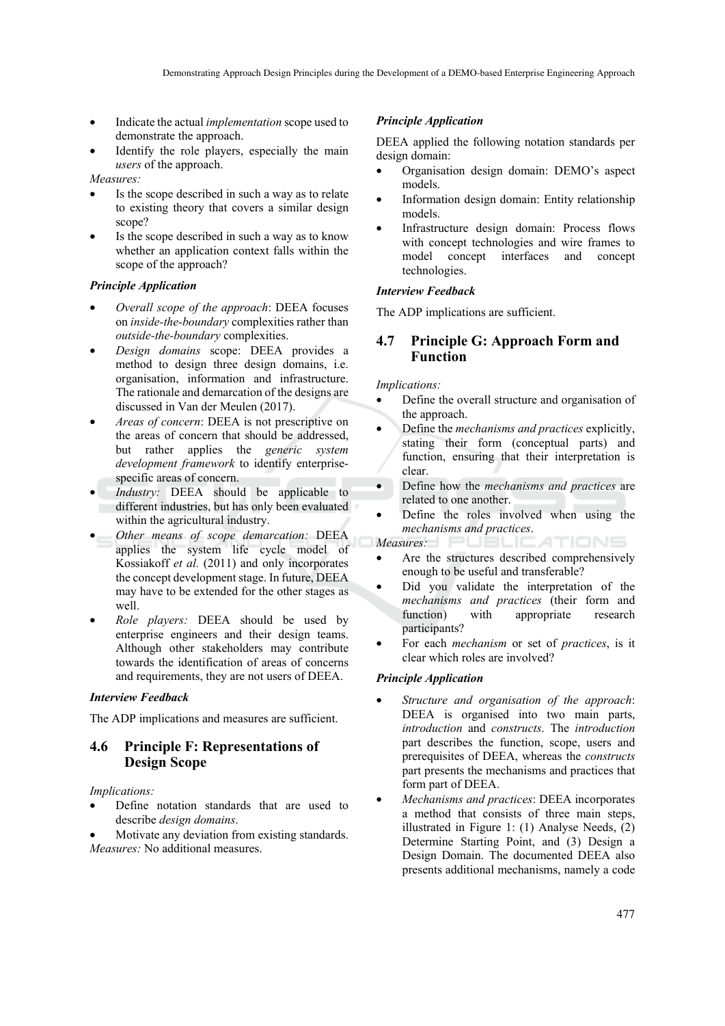- Indicate the actual *implementation* scope used to demonstrate the approach.
- Identify the role players, especially the main *users* of the approach.

*Measures:* 

- Is the scope described in such a way as to relate to existing theory that covers a similar design scope?
- Is the scope described in such a way as to know whether an application context falls within the scope of the approach?

### *Principle Application*

- *Overall scope of the approach*: DEEA focuses on *inside-the-boundary* complexities rather than *outside-the-boundary* complexities.
- *Design domains* scope: DEEA provides a method to design three design domains, i.e. organisation, information and infrastructure. The rationale and demarcation of the designs are discussed in Van der Meulen (2017).
- *Areas of concern*: DEEA is not prescriptive on the areas of concern that should be addressed, but rather applies the *generic system development framework* to identify enterprisespecific areas of concern.
- *Industry:* DEEA should be applicable to different industries, but has only been evaluated within the agricultural industry.
- *Other means of scope demarcation:* DEEA applies the system life cycle model of Kossiakoff *et al.* (2011) and only incorporates the concept development stage. In future, DEEA may have to be extended for the other stages as well.
- *Role players:* DEEA should be used by enterprise engineers and their design teams. Although other stakeholders may contribute towards the identification of areas of concerns and requirements, they are not users of DEEA.

#### *Interview Feedback*

The ADP implications and measures are sufficient.

### **4.6 Principle F: Representations of Design Scope**

*Implications:* 

- Define notation standards that are used to describe *design domains*.
- Motivate any deviation from existing standards. *Measures:* No additional measures.

#### *Principle Application*

DEEA applied the following notation standards per design domain:

- Organisation design domain: DEMO's aspect models.
- Information design domain: Entity relationship models.
- Infrastructure design domain: Process flows with concept technologies and wire frames to model concept interfaces and concept technologies.

### *Interview Feedback*

The ADP implications are sufficient.

### **4.7 Principle G: Approach Form and Function**

*Implications:* 

- Define the overall structure and organisation of the approach.
- Define the *mechanisms and practices* explicitly, stating their form (conceptual parts) and function, ensuring that their interpretation is clear.
- Define how the *mechanisms and practices* are related to one another.
- Define the roles involved when using the *mechanisms and practices*.

*Measures:* 

- Are the structures described comprehensively enough to be useful and transferable?
- Did you validate the interpretation of the *mechanisms and practices* (their form and function) with appropriate research participants?
- For each *mechanism* or set of *practices*, is it clear which roles are involved?

### *Principle Application*

- *Structure and organisation of the approach*: DEEA is organised into two main parts, *introduction* and *constructs*. The *introduction* part describes the function, scope, users and prerequisites of DEEA, whereas the *constructs* part presents the mechanisms and practices that form part of DEEA.
- *Mechanisms and practices*: DEEA incorporates a method that consists of three main steps, illustrated in Figure 1: (1) Analyse Needs, (2) Determine Starting Point, and (3) Design a Design Domain. The documented DEEA also presents additional mechanisms, namely a code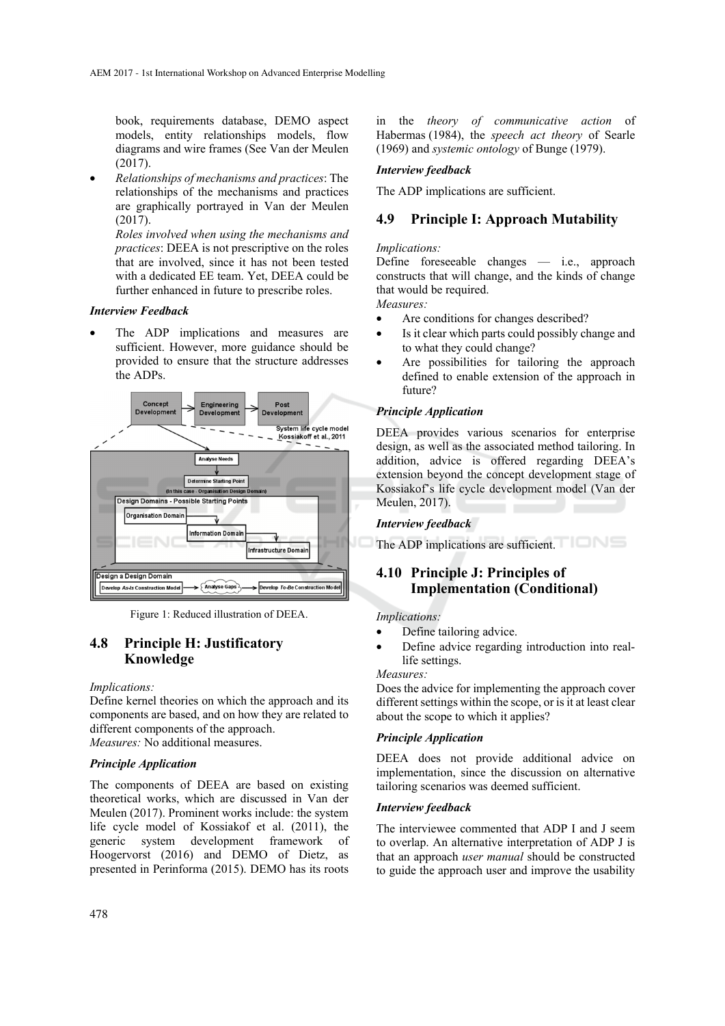book, requirements database, DEMO aspect models, entity relationships models, flow diagrams and wire frames (See Van der Meulen (2017).

• *Relationships of mechanisms and practices*: The relationships of the mechanisms and practices are graphically portrayed in Van der Meulen  $(2017)$ .

*Roles involved when using the mechanisms and practices*: DEEA is not prescriptive on the roles that are involved, since it has not been tested with a dedicated EE team. Yet, DEEA could be further enhanced in future to prescribe roles.

#### *Interview Feedback*

The ADP implications and measures are sufficient. However, more guidance should be provided to ensure that the structure addresses the ADPs.



Figure 1: Reduced illustration of DEEA.

### **4.8 Principle H: Justificatory Knowledge**

#### *Implications:*

Define kernel theories on which the approach and its components are based, and on how they are related to different components of the approach. *Measures:* No additional measures.

#### *Principle Application*

The components of DEEA are based on existing theoretical works, which are discussed in Van der Meulen (2017). Prominent works include: the system life cycle model of Kossiakof et al. (2011), the generic system development framework of Hoogervorst (2016) and DEMO of Dietz, as presented in Perinforma (2015). DEMO has its roots

in the *theory of communicative action* of Habermas (1984), the *speech act theory* of Searle (1969) and *systemic ontology* of Bunge (1979).

### *Interview feedback*

The ADP implications are sufficient.

### **4.9 Principle I: Approach Mutability**

#### *Implications:*

Define foreseeable changes — i.e., approach constructs that will change, and the kinds of change that would be required.

*Measures:* 

- Are conditions for changes described?
- Is it clear which parts could possibly change and to what they could change?
- Are possibilities for tailoring the approach defined to enable extension of the approach in future?

### *Principle Application*

DEEA provides various scenarios for enterprise design, as well as the associated method tailoring. In addition, advice is offered regarding DEEA's extension beyond the concept development stage of Kossiakof's life cycle development model (Van der Meulen, 2017).

*Interview feedback* 

The ADP implications are sufficient.

### **4.10 Principle J: Principles of Implementation (Conditional)**

*Implications:* 

- Define tailoring advice.
- Define advice regarding introduction into reallife settings.

*Measures:* 

Does the advice for implementing the approach cover different settings within the scope, or is it at least clear about the scope to which it applies?

#### *Principle Application*

DEEA does not provide additional advice on implementation, since the discussion on alternative tailoring scenarios was deemed sufficient.

### *Interview feedback*

The interviewee commented that ADP I and J seem to overlap. An alternative interpretation of ADP J is that an approach *user manual* should be constructed to guide the approach user and improve the usability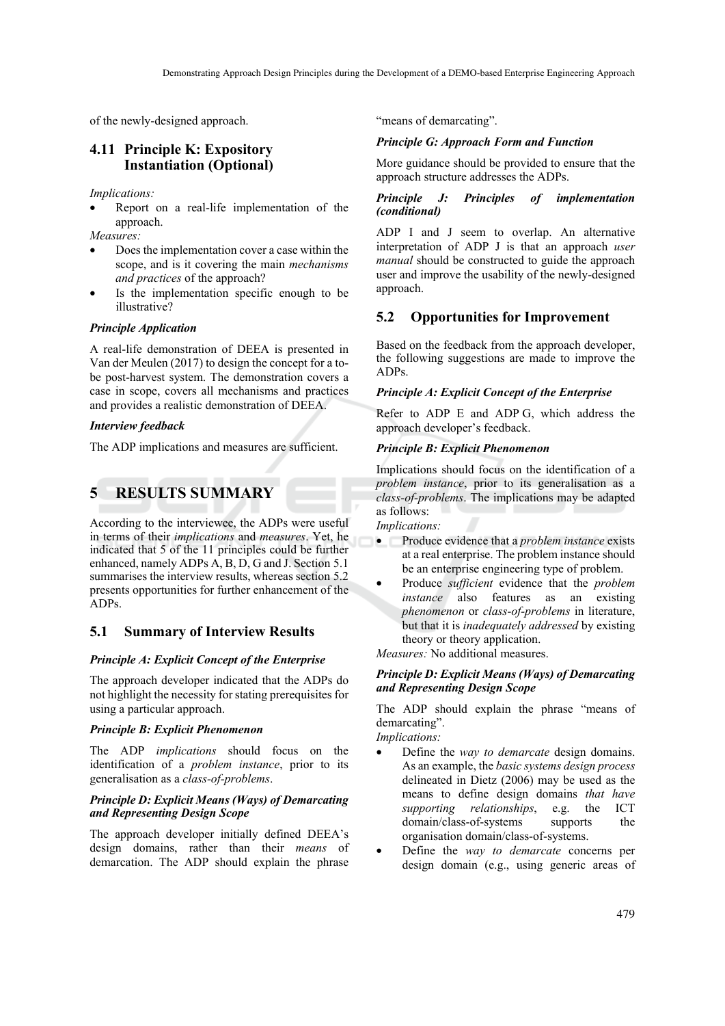of the newly-designed approach.

### **4.11 Principle K: Expository Instantiation (Optional)**

*Implications:* 

• Report on a real-life implementation of the approach.

*Measures:* 

- Does the implementation cover a case within the scope, and is it covering the main *mechanisms and practices* of the approach?
- Is the implementation specific enough to be illustrative?

### *Principle Application*

A real-life demonstration of DEEA is presented in Van der Meulen (2017) to design the concept for a tobe post-harvest system. The demonstration covers a case in scope, covers all mechanisms and practices and provides a realistic demonstration of DEEA.

### *Interview feedback*

The ADP implications and measures are sufficient.

# **5 RESULTS SUMMARY**

According to the interviewee, the ADPs were useful in terms of their *implications* and *measures*. Yet, he indicated that 5 of the 11 principles could be further enhanced, namely ADPs A, B, D, G and J. Section 5.1 summarises the interview results, whereas section 5.2 presents opportunities for further enhancement of the ADPs.

### **5.1 Summary of Interview Results**

### *Principle A: Explicit Concept of the Enterprise*

The approach developer indicated that the ADPs do not highlight the necessity for stating prerequisites for using a particular approach.

### *Principle B: Explicit Phenomenon*

The ADP *implications* should focus on the identification of a *problem instance*, prior to its generalisation as a *class-of-problems*.

#### *Principle D: Explicit Means (Ways) of Demarcating and Representing Design Scope*

The approach developer initially defined DEEA's design domains, rather than their *means* of demarcation. The ADP should explain the phrase "means of demarcating".

### *Principle G: Approach Form and Function*

More guidance should be provided to ensure that the approach structure addresses the ADPs.

### *Principle J: Principles of implementation (conditional)*

ADP I and J seem to overlap. An alternative interpretation of ADP J is that an approach *user manual* should be constructed to guide the approach user and improve the usability of the newly-designed approach.

### **5.2 Opportunities for Improvement**

Based on the feedback from the approach developer, the following suggestions are made to improve the ADPs.

### *Principle A: Explicit Concept of the Enterprise*

Refer to ADP E and ADP G, which address the approach developer's feedback.

### *Principle B: Explicit Phenomenon*

Implications should focus on the identification of a *problem instance*, prior to its generalisation as a *class-of-problems*. The implications may be adapted as follows:

*Implications:* 

- Produce evidence that a *problem instance* exists at a real enterprise. The problem instance should be an enterprise engineering type of problem.
- Produce *sufficient* evidence that the *problem instance* also features as an existing *phenomenon* or *class-of-problems* in literature, but that it is *inadequately addressed* by existing theory or theory application.

*Measures:* No additional measures.

### *Principle D: Explicit Means (Ways) of Demarcating and Representing Design Scope*

The ADP should explain the phrase "means of demarcating".

*Implications:* 

- Define the *way to demarcate* design domains. As an example, the *basic systems design process* delineated in Dietz (2006) may be used as the means to define design domains *that have supporting relationships*, e.g. the ICT *supporting relationships.* domain/class-of-systems supports the organisation domain/class-of-systems.
- Define the *way to demarcate* concerns per design domain (e.g., using generic areas of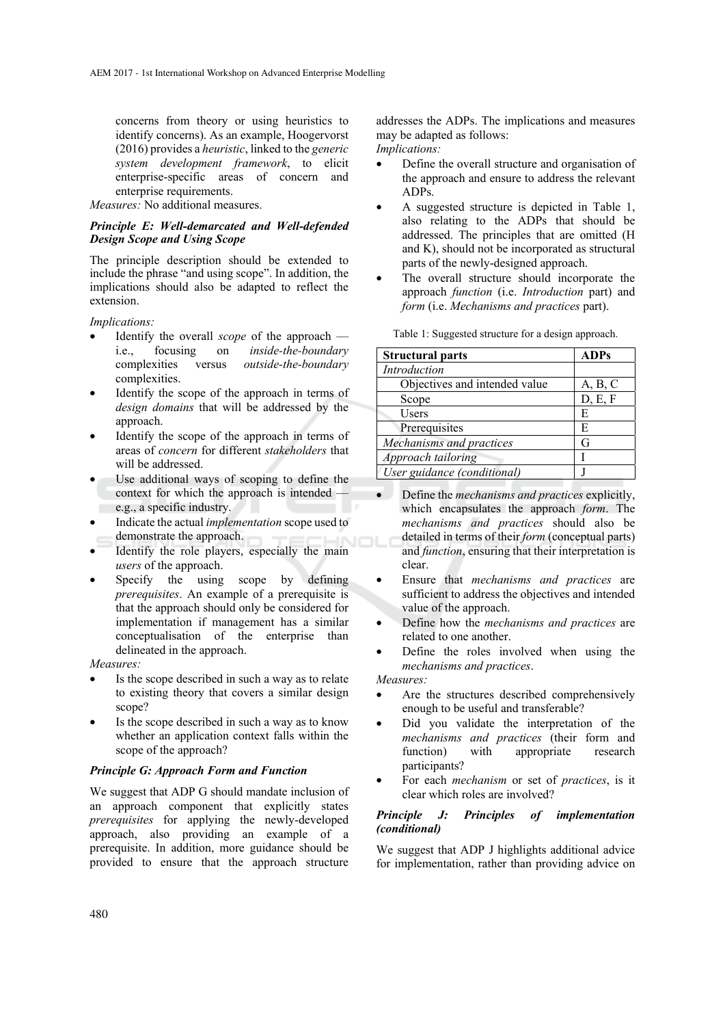concerns from theory or using heuristics to identify concerns). As an example, Hoogervorst (2016) provides a *heuristic*, linked to the *generic system development framework*, to elicit enterprise-specific areas of concern and enterprise requirements.

*Measures:* No additional measures.

### *Principle E: Well-demarcated and Well-defended Design Scope and Using Scope*

The principle description should be extended to include the phrase "and using scope". In addition, the implications should also be adapted to reflect the extension.

*Implications:* 

- Identify the overall *scope* of the approach i.e., focusing on *inside-the-boundary* complexities versus *outside-the-boundary* complexities.
- Identify the scope of the approach in terms of *design domains* that will be addressed by the approach.
- Identify the scope of the approach in terms of areas of *concern* for different *stakeholders* that will be addressed.
- Use additional ways of scoping to define the context for which the approach is intended e.g., a specific industry.
- Indicate the actual *implementation* scope used to demonstrate the approach.
- Identify the role players, especially the main *users* of the approach.
- Specify the using scope by defining *prerequisites*. An example of a prerequisite is that the approach should only be considered for implementation if management has a similar conceptualisation of the enterprise than delineated in the approach.

*Measures:* 

- Is the scope described in such a way as to relate to existing theory that covers a similar design scope?
- Is the scope described in such a way as to know whether an application context falls within the scope of the approach?

#### *Principle G: Approach Form and Function*

We suggest that ADP G should mandate inclusion of an approach component that explicitly states *prerequisites* for applying the newly-developed approach, also providing an example of a prerequisite. In addition, more guidance should be provided to ensure that the approach structure

addresses the ADPs. The implications and measures may be adapted as follows:

*Implications:* 

- Define the overall structure and organisation of the approach and ensure to address the relevant ADPs.
- A suggested structure is depicted in Table 1, also relating to the ADPs that should be addressed. The principles that are omitted (H and K), should not be incorporated as structural parts of the newly-designed approach.
- The overall structure should incorporate the approach *function* (i.e. *Introduction* part) and *form* (i.e. *Mechanisms and practices* part).

| <b>Structural parts</b>       | <b>ADPs</b> |
|-------------------------------|-------------|
| Introduction                  |             |
| Objectives and intended value | A, B, C     |
| Scope                         | D, E, F     |
| <b>Users</b>                  | E           |
| Prerequisites                 | E           |
| Mechanisms and practices      | G           |
| Approach tailoring            |             |
| User guidance (conditional)   |             |

Table 1: Suggested structure for a design approach.

- Define the *mechanisms and practices* explicitly, which encapsulates the approach *form*. The *mechanisms and practices* should also be detailed in terms of their *form* (conceptual parts) and *function*, ensuring that their interpretation is clear.
- Ensure that *mechanisms and practices* are sufficient to address the objectives and intended value of the approach.
- Define how the *mechanisms and practices* are related to one another.
- Define the roles involved when using the *mechanisms and practices*.

*Measures:* 

- Are the structures described comprehensively enough to be useful and transferable?
- Did you validate the interpretation of the *mechanisms and practices* (their form and function) with appropriate research participants?
- For each *mechanism* or set of *practices*, is it clear which roles are involved?

#### *Principle J: Principles of implementation (conditional)*

We suggest that ADP J highlights additional advice for implementation, rather than providing advice on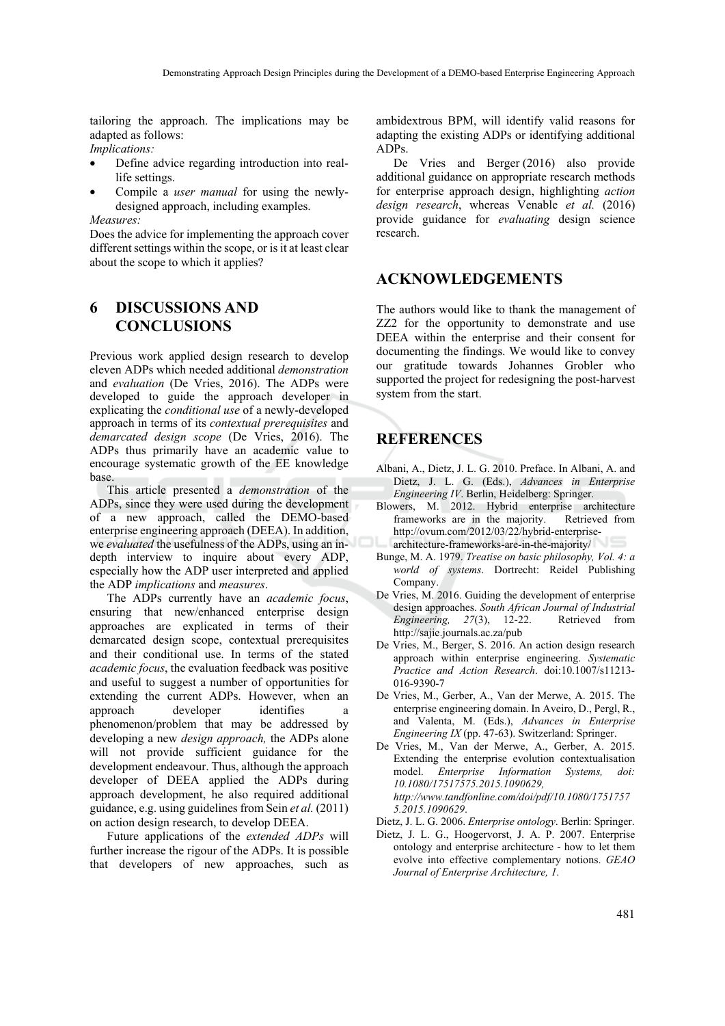tailoring the approach. The implications may be adapted as follows:

*Implications:* 

- Define advice regarding introduction into reallife settings.
- Compile a *user manual* for using the newlydesigned approach, including examples.

*Measures:* 

Does the advice for implementing the approach cover different settings within the scope, or is it at least clear about the scope to which it applies?

# **6 DISCUSSIONS AND CONCLUSIONS**

Previous work applied design research to develop eleven ADPs which needed additional *demonstration* and *evaluation* (De Vries, 2016). The ADPs were developed to guide the approach developer in explicating the *conditional use* of a newly-developed approach in terms of its *contextual prerequisites* and *demarcated design scope* (De Vries, 2016). The ADPs thus primarily have an academic value to encourage systematic growth of the EE knowledge base.

This article presented a *demonstration* of the ADPs, since they were used during the development of a new approach, called the DEMO-based enterprise engineering approach (DEEA). In addition, we *evaluated* the usefulness of the ADPs, using an indepth interview to inquire about every ADP, especially how the ADP user interpreted and applied the ADP *implications* and *measures*.

The ADPs currently have an *academic focus*, ensuring that new/enhanced enterprise design approaches are explicated in terms of their demarcated design scope, contextual prerequisites and their conditional use. In terms of the stated *academic focus*, the evaluation feedback was positive and useful to suggest a number of opportunities for extending the current ADPs. However, when an approach developer identifies a phenomenon/problem that may be addressed by developing a new *design approach,* the ADPs alone will not provide sufficient guidance for the development endeavour. Thus, although the approach developer of DEEA applied the ADPs during approach development, he also required additional guidance, e.g. using guidelines from Sein *et al.* (2011) on action design research, to develop DEEA.

Future applications of the *extended ADPs* will further increase the rigour of the ADPs. It is possible that developers of new approaches, such as ambidextrous BPM, will identify valid reasons for adapting the existing ADPs or identifying additional ADPs.

De Vries and Berger (2016) also provide additional guidance on appropriate research methods for enterprise approach design, highlighting *action design research*, whereas Venable *et al.* (2016) provide guidance for *evaluating* design science research.

### **ACKNOWLEDGEMENTS**

The authors would like to thank the management of ZZ2 for the opportunity to demonstrate and use DEEA within the enterprise and their consent for documenting the findings. We would like to convey our gratitude towards Johannes Grobler who supported the project for redesigning the post-harvest system from the start.

# **REFERENCES**

- Albani, A., Dietz, J. L. G. 2010. Preface. In Albani, A. and Dietz, J. L. G. (Eds.), *Advances in Enterprise Engineering IV*. Berlin, Heidelberg: Springer.
- Blowers, M. 2012. Hybrid enterprise architecture frameworks are in the majority. Retrieved from http://ovum.com/2012/03/22/hybrid-enterprise-
- architecture-frameworks-are-in-the-majority/
- Bunge, M. A. 1979. *Treatise on basic philosophy, Vol. 4: a world of systems*. Dortrecht: Reidel Publishing Company.
- De Vries, M. 2016. Guiding the development of enterprise design approaches. *South African Journal of Industrial Engineering, 27*(3), 12-22. Retrieved from http://sajie.journals.ac.za/pub
- De Vries, M., Berger, S. 2016. An action design research approach within enterprise engineering. *Systematic Practice and Action Research*. doi:10.1007/s11213- 016-9390-7
- De Vries, M., Gerber, A., Van der Merwe, A. 2015. The enterprise engineering domain. In Aveiro, D., Pergl, R., and Valenta, M. (Eds.), *Advances in Enterprise Engineering IX* (pp. 47-63). Switzerland: Springer.
- De Vries, M., Van der Merwe, A., Gerber, A. 2015. Extending the enterprise evolution contextualisation model. *Enterprise Information Systems, doi: 10.1080/17517575.2015.1090629, http://www.tandfonline.com/doi/pdf/10.1080/1751757 5.2015.1090629*.
- Dietz, J. L. G. 2006. *Enterprise ontology*. Berlin: Springer.
- Dietz, J. L. G., Hoogervorst, J. A. P. 2007. Enterprise ontology and enterprise architecture - how to let them evolve into effective complementary notions. *GEAO Journal of Enterprise Architecture, 1*.